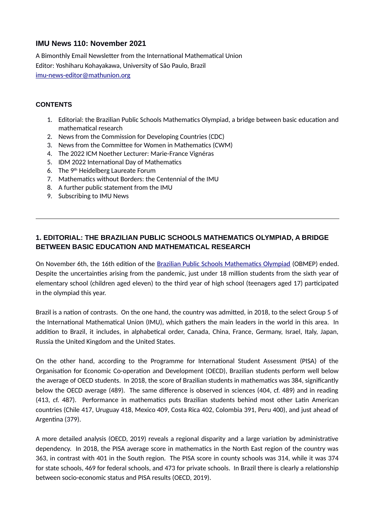# **IMU News 110: November 2021**

A Bimonthly Email Newsletter from the International Mathematical Union Editor: Yoshiharu Kohayakawa, University of São Paulo, Brazil [imu-news-editor@mathunion.org](mailto:imu-news-editor@mathunion.org)

### **CONTENTS**

- 1. Editorial: the Brazilian Public Schools Mathematics Olympiad, a bridge between basic education and mathematical research
- 2. News from the Commission for Developing Countries (CDC)
- 3. News from the Committee for Women in Mathematics (CWM)
- 4. The 2022 ICM Noether Lecturer: Marie-France Vignéras
- 5. IDM 2022 International Day of Mathematics
- 6. The 9th Heidelberg Laureate Forum
- 7. Mathematics without Borders: the Centennial of the IMU
- 8. A further public statement from the IMU
- 9. Subscribing to IMU News

# **1. EDITORIAL: THE BRAZILIAN PUBLIC SCHOOLS MATHEMATICS OLYMPIAD, A BRIDGE BETWEEN BASIC EDUCATION AND MATHEMATICAL RESEARCH**

On November 6th, the 16th edition of the [Brazilian Public Schools Mathematics Olympiad](http://www.obmep.org.br/) (OBMEP) ended. Despite the uncertainties arising from the pandemic, just under 18 million students from the sixth year of elementary school (children aged eleven) to the third year of high school (teenagers aged 17) participated in the olympiad this year.

Brazil is a nation of contrasts. On the one hand, the country was admitted, in 2018, to the select Group 5 of the International Mathematical Union (IMU), which gathers the main leaders in the world in this area. In addition to Brazil, it includes, in alphabetical order, Canada, China, France, Germany, Israel, Italy, Japan, Russia the United Kingdom and the United States.

On the other hand, according to the Programme for International Student Assessment (PISA) of the Organisation for Economic Co-operation and Development (OECD), Brazilian students perform well below the average of OECD students. In 2018, the score of Brazilian students in mathematics was 384, significantly below the OECD average (489). The same difference is observed in sciences (404, cf. 489) and in reading (413, cf. 487). Performance in mathematics puts Brazilian students behind most other Latin American countries (Chile 417, Uruguay 418, Mexico 409, Costa Rica 402, Colombia 391, Peru 400), and just ahead of Argentina (379).

A more detailed analysis (OECD, 2019) reveals a regional disparity and a large variation by administrative dependency. In 2018, the PISA average score in mathematics in the North East region of the country was 363, in contrast with 401 in the South region. The PISA score in county schools was 314, while it was 374 for state schools, 469 for federal schools, and 473 for private schools. In Brazil there is clearly a relationship between socio-economic status and PISA results (OECD, 2019).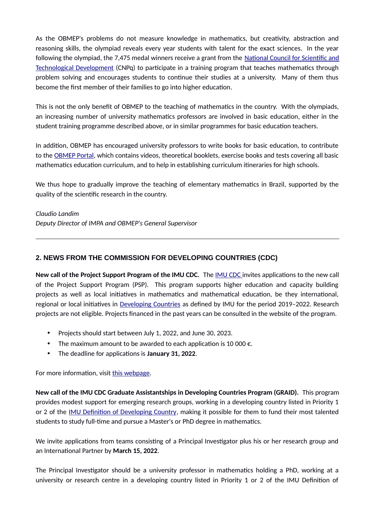As the OBMEP's problems do not measure knowledge in mathematics, but creativity, abstraction and reasoning skills, the olympiad reveals every year students with talent for the exact sciences. In the year following the olympiad, the 7,475 medal winners receive a grant from the [National Council for Scientific and](https://www.gov.br/cnpq/pt-br) [Technological Development](https://www.gov.br/cnpq/pt-br) (CNPq) to participate in a training program that teaches mathematics through problem solving and encourages students to continue their studies at a university. Many of them thus become the first member of their families to go into higher education.

This is not the only benefit of OBMEP to the teaching of mathematics in the country. With the olympiads, an increasing number of university mathematics professors are involved in basic education, either in the student training programme described above, or in similar programmes for basic education teachers.

In addition, OBMEP has encouraged university professors to write books for basic education, to contribute to the [OBMEP Portal,](https://portaldaobmep.impa.br/) which contains videos, theoretical booklets, exercise books and tests covering all basic mathematics education curriculum, and to help in establishing curriculum itineraries for high schools.

We thus hope to gradually improve the teaching of elementary mathematics in Brazil, supported by the quality of the scientific research in the country.

*Claudio Landim Deputy Director of IMPA and OBMEP's General Supervisor*

## **2. NEWS FROM THE COMMISSION FOR DEVELOPING COUNTRIES (CDC)**

**New call of the Project Support Program of the IMU CDC.** The [IMU CDC i](https://www.mathunion.org/cdc)nvites applications to the new call of the Project Support Program (PSP). This program supports higher education and capacity building projects as well as local initiatives in mathematics and mathematical education, be they international, regional or local initiatives in [Developing Countries](https://www.mathunion.org/cdc/about-cdc/definition-developing-countries) as defined by IMU for the period 2019-2022. Research projects are not eligible. Projects financed in the past years can be consulted in the website of the program.

- Projects should start between July 1, 2022, and June 30, 2023.
- The maximum amount to be awarded to each application is 10 000  $\epsilon$ .
- The deadline for applications is **January 31, 2022**.

For more information, visit [this webpage.](https://www.mathunion.org/cdc/grants/project-support-program)

**New call of the IMU CDC Graduate Assistantships in Developing Countries Program (GRAID).** This program provides modest support for emerging research groups, working in a developing country listed in Priority 1 or 2 of the [IMU Definition of Developing Country](https://www.mathunion.org/cdc/about-cdc/definition-developing-countries), making it possible for them to fund their most talented students to study full-time and pursue a Master's or PhD degree in mathematics.

We invite applications from teams consisting of a Principal Investigator plus his or her research group and an International Partner by **March 15, 2022**.

The Principal Investigator should be a university professor in mathematics holding a PhD, working at a university or research centre in a developing country listed in Priority 1 or 2 of the IMU Definition of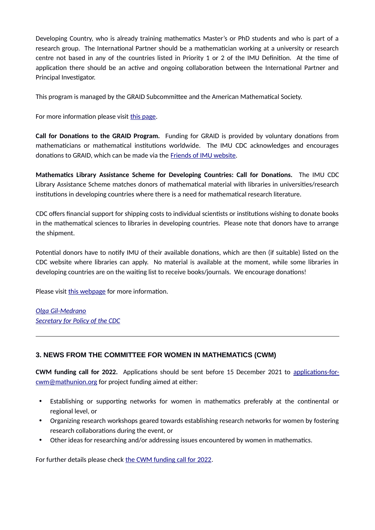Developing Country, who is already training mathematics Master's or PhD students and who is part of a research group. The International Partner should be a mathematician working at a university or research centre not based in any of the countries listed in Priority 1 or 2 of the IMU Definition. At the time of application there should be an active and ongoing collaboration between the International Partner and Principal Investigator.

This program is managed by the GRAID Subcommittee and the American Mathematical Society.

For more information please visit [this page](https://www.mathunion.org/cdc/scholarshipsgraduate-scholarships/graduate-assistantships-developing-countries).

**Call for Donations to the GRAID Program.** Funding for GRAID is provided by voluntary donations from mathematicians or mathematical institutions worldwide. The IMU CDC acknowledges and encourages donations to GRAID, which can be made via the [Friends of IMU website](http://friends-imu.org/donate/-graid).

**Mathematics Library Assistance Scheme for Developing Countries: Call for Donations.** The IMU CDC Library Assistance Scheme matches donors of mathematical material with libraries in universities/research institutions in developing countries where there is a need for mathematical research literature.

CDC offers financial support for shipping costs to individual scientists or institutions wishing to donate books in the mathematical sciences to libraries in developing countries. Please note that donors have to arrange the shipment.

Potential donors have to notify IMU of their available donations, which are then (if suitable) listed on the CDC website where libraries can apply. No material is available at the moment, while some libraries in developing countries are on the waiting list to receive books/journals. We encourage donations!

Please visit [this webpage](https://www.mathunion.org/cdc/scholarships/library-assistance-scheme) for more information.

*[Olga Gil-Medrano](https://www.uv.es/~gilo/Pagina_web2/Inicio.html) [Secretary for Policy of the CDC](https://www.mathunion.org/cdc/about-cdc/members)*

# **3. NEWS FROM THE COMMITTEE FOR WOMEN IN MATHEMATICS (CWM)**

**CWM funding call for 2022.** Applications should be sent before 15 December 2021 to [applications-for](mailto:applications-for-cwm@mathunion.org?subject=CWM%20Funding%202022)[cwm@mathunion.org](mailto:applications-for-cwm@mathunion.org?subject=CWM%20Funding%202022) for project funding aimed at either:

- Establishing or supporting networks for women in mathematics preferably at the continental or regional level, or
- Organizing research workshops geared towards establishing research networks for women by fostering research collaborations during the event, or
- Other ideas for researching and/or addressing issues encountered by women in mathematics.

For further details please check [the CWM funding call for 2022.](https://www.mathunion.org/fileadmin/CWM/frontpage/CWMCall2022.pdf)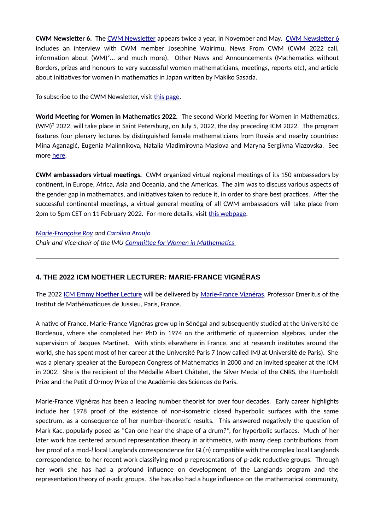**CWM Newsletter 6.** The [CWM Newsletter](https://www.mathunion.org/cwm/about/cwm-newsletter) appears twice a year, in November and May. [CWM Newsletter 6](https://www.mathunion.org/fileadmin/CWM/Initiatives/CWMNewsletter6.pdf) includes an interview with CWM member Josephine Wairimu, News From CWM (CWM 2022 call, information about (WM)²... and much more). Other News and Announcements (Mathematics without Borders, prizes and honours to very successful women mathematicians, meetings, reports etc), and article about initiatives for women in mathematics in Japan written by Makiko Sasada.

To subscribe to the CWM Newsletter, visit [this page](https://www.mathunion.org/cwm/about/cwm-newsletter).

**World Meeting for Women in Mathematics 2022.** The second World Meeting for Women in Mathematics, (WM)² 2022, will take place in Saint Petersburg, on July 5, 2022, the day preceding ICM 2022. The program features four plenary lectures by distinguished female mathematicians from Russia and nearby countries: Mina Aganagić, Eugenia Malinnikova, Natalia Vladimirovna Maslova and Maryna Sergiivna Viazovska. See more [here](https://2022.worldwomeninmaths.org/).

**CWM ambassadors virtual meetings.** CWM organized virtual regional meetings of its 150 ambassadors by continent, in Europe, Africa, Asia and Oceania, and the Americas. The aim was to discuss various aspects of the gender gap in mathematics, and initiatives taken to reduce it, in order to share best practices. After the successful continental meetings, a virtual general meeting of all CWM ambassadors will take place from 2pm to 5pm CET on 11 February 2022. For more details, visit [this webpage.](https://www.mathunion.org/cwm/about/cwm-ambassadors)

#### *[Marie-Françoise Roy](https://irmar.univ-rennes1.fr/en/interlocutors/marie-francoise-roy) and Carolina Araujo*

*Chair and Vice-chair of the IMU [Committee for Women in Mathematics](https://mathunion.org/cwm/)* 

## **4. THE 2022 ICM NOETHER LECTURER: MARIE-FRANCE VIGNÉRAS**

The 2022 [ICM Emmy Noether Lecture](https://www.mathunion.org/imu-awards/icm-emmy-noether-lecture) will be delivered by [Marie-France Vignéras](https://webusers.imj-prg.fr/~marie-france.vigneras/), Professor Emeritus of the Institut de Mathématiques de Jussieu, Paris, France.

A native of France, Marie-France Vignéras grew up in Sénégal and subsequently studied at the Université de Bordeaux, where she completed her PhD in 1974 on the arithmetic of quaternion algebras, under the supervision of Jacques Martinet. With stints elsewhere in France, and at research institutes around the world, she has spent most of her career at the Université Paris 7 (now called IMJ at Université de Paris). She was a plenary speaker at the European Congress of Mathematics in 2000 and an invited speaker at the ICM in 2002. She is the recipient of the Médaille Albert Châtelet, the Silver Medal of the CNRS, the Humboldt Prize and the Petit d'Ormoy Prize of the Académie des Sciences de Paris.

Marie-France Vignéras has been a leading number theorist for over four decades. Early career highlights include her 1978 proof of the existence of non-isometric closed hyperbolic surfaces with the same spectrum, as a consequence of her number-theoretic results. This answered negatively the question of Mark Kac, popularly posed as "Can one hear the shape of a drum?", for hyperbolic surfaces. Much of her later work has centered around representation theory in arithmetics, with many deep contributions, from her proof of a mod-*l* local Langlands correspondence for GL(*n*) compatible with the complex local Langlands correspondence, to her recent work classifying mod *p* representations of *p*-adic reductive groups. Through her work she has had a profound influence on development of the Langlands program and the representation theory of *p*-adic groups. She has also had a huge influence on the mathematical community,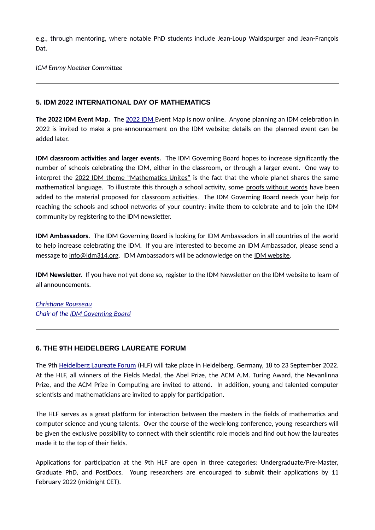e.g., through mentoring, where notable PhD students include Jean-Loup Waldspurger and Jean-François Dat.

*ICM Emmy Noether Committee*

### **5. IDM 2022 INTERNATIONAL DAY OF MATHEMATICS**

**The 2022 IDM Event Map.** The [2022 IDM](https://www.idm314.org/index.html#event-map) Event Map is now online. Anyone planning an IDM celebration in 2022 is invited to make a pre-announcement on the IDM website; details on the planned event can be added later.

**IDM classroom activities and larger events.** The IDM Governing Board hopes to increase significantly the number of schools celebrating the IDM, either in the classroom, or through a larger event. One way to interpret the [2022 IDM theme "Mathematics Unites"](https://www.idm314.org/#theme2022) is the fact that the whole planet shares the same mathematical language. To illustrate this through a school activity, some [proofs without words](https://www.idm314.org/resources/activities/idm-proofs-without-words-en.pdf) have been added to the material proposed for [classroom activities](https://www.idm314.org/organize.html#classroom-activities). The IDM Governing Board needs your help for reaching the schools and school networks of your country: invite them to celebrate and to join the IDM community by registering to the IDM newsletter.

**IDM Ambassadors.** The IDM Governing Board is looking for IDM Ambassadors in all countries of the world to help increase celebrating the IDM. If you are interested to become an IDM Ambassador, please send a message to [info@idm314.org](mailto:info@idm314.org?subject=IDM%20Ambassadors). IDM Ambassadors will be acknowledge on the [IDM website.](https://www.idm314.org/)

**IDM Newsletter.** If you have not yet done so, [register to the IDM Newsletter](https://gmail.us20.list-manage.com/subscribe?u=60a750d472d327e9f38325f16&id=773d66c5d9) on the IDM website to learn of all announcements.

*[Christiane Rousseau](https://dms.umontreal.ca/fr/repertoire-departement/professeurs/portrait/rousseac) Chair of the [IDM Governing Board](https://www.mathunion.org/outreach/IDM)*

## **6. THE 9TH HEIDELBERG LAUREATE FORUM**

The 9th [Heidelberg Laureate Forum](https://www.heidelberg-laureate-forum.org/) (HLF) will take place in Heidelberg, Germany, 18 to 23 September 2022. At the HLF, all winners of the Fields Medal, the Abel Prize, the ACM A.M. Turing Award, the Nevanlinna Prize, and the ACM Prize in Computing are invited to attend. In addition, young and talented computer scientists and mathematicians are invited to apply for participation.

The HLF serves as a great platform for interaction between the masters in the fields of mathematics and computer science and young talents. Over the course of the week-long conference, young researchers will be given the exclusive possibility to connect with their scientific role models and find out how the laureates made it to the top of their fields.

Applications for participation at the 9th HLF are open in three categories: Undergraduate/Pre-Master, Graduate PhD, and PostDocs. Young researchers are encouraged to submit their applications by 11 February 2022 (midnight CET).